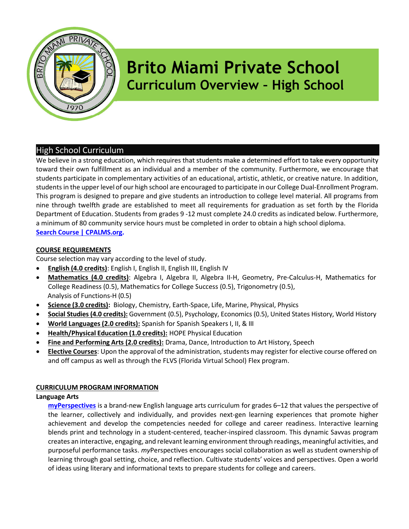

# Brito Miami Private School Curriculum Overview – High School

# High School Curriculum

We believe in a strong education, which requires that students make a determined effort to take every opportunity toward their own fulfillment as an individual and a member of the community. Furthermore, we encourage that students participate in complementary activities of an educational, artistic, athletic, or creative nature. In addition, students in the upper level of our high school are encouraged to participate in our College Dual-Enrollment Program. This program is designed to prepare and give students an introduction to college level material. All programs from nine through twelfth grade are established to meet all requirements for graduation as set forth by the Florida Department of Education. Students from grades 9 -12 must complete 24.0 credits as indicated below. Furthermore, a minimum of 80 community service hours must be completed in order to obtain a high school diploma. Search Course | CPALMS.org.

# COURSE REQUIREMENTS

Course selection may vary according to the level of study.

- English (4.0 credits): English I, English II, English III, English IV
- Mathematics (4.0 credits): Algebra I, Algebra II, Algebra II-H, Geometry, Pre-Calculus-H, Mathematics for College Readiness (0.5), Mathematics for College Success (0.5), Trigonometry (0.5), Analysis of Functions-H (0.5)
- Science (3.0 credits): Biology, Chemistry, Earth-Space, Life, Marine, Physical, Physics
- Social Studies (4.0 credits): Government (0.5), Psychology, Economics (0.5), United States History, World History
- World Languages (2.0 credits): Spanish for Spanish Speakers I, II, & III
- Health/Physical Education (1.0 credits): HOPE Physical Education
- Fine and Performing Arts (2.0 credits): Drama, Dance, Introduction to Art History, Speech
- **Elective Courses**: Upon the approval of the administration, students may register for elective course offered on and off campus as well as through the FLVS (Florida Virtual School) Flex program.

# CURRICULUM PROGRAM INFORMATION

# Language Arts

myPerspectives is a brand-new English language arts curriculum for grades 6–12 that values the perspective of the learner, collectively and individually, and provides next-gen learning experiences that promote higher achievement and develop the competencies needed for college and career readiness. Interactive learning blends print and technology in a student-centered, teacher-inspired classroom. This dynamic Savvas program creates an interactive, engaging, and relevant learning environment through readings, meaningful activities, and purposeful performance tasks. myPerspectives encourages social collaboration as well as student ownership of learning through goal setting, choice, and reflection. Cultivate students' voices and perspectives. Open a world of ideas using literary and informational texts to prepare students for college and careers.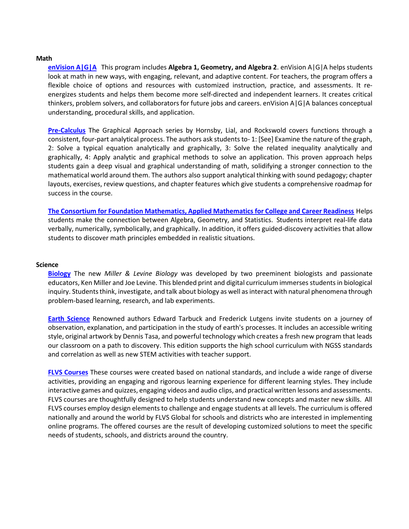#### **Math**

enVision A|G|A This program includes Algebra 1, Geometry, and Algebra 2. enVision A|G|A helps students look at math in new ways, with engaging, relevant, and adaptive content. For teachers, the program offers a flexible choice of options and resources with customized instruction, practice, and assessments. It reenergizes students and helps them become more self-directed and independent learners. It creates critical thinkers, problem solvers, and collaborators for future jobs and careers. enVision A|G|A balances conceptual understanding, procedural skills, and application.

Pre-Calculus The Graphical Approach series by Hornsby, Lial, and Rockswold covers functions through a consistent, four-part analytical process. The authors ask students to- 1: [See] Examine the nature of the graph, 2: Solve a typical equation analytically and graphically, 3: Solve the related inequality analytically and graphically, 4: Apply analytic and graphical methods to solve an application. This proven approach helps students gain a deep visual and graphical understanding of math, solidifying a stronger connection to the mathematical world around them. The authors also support analytical thinking with sound pedagogy; chapter layouts, exercises, review questions, and chapter features which give students a comprehensive roadmap for success in the course.

The Consortium for Foundation Mathematics, Applied Mathematics for College and Career Readiness Helps students make the connection between Algebra, Geometry, and Statistics. Students interpret real-life data verbally, numerically, symbolically, and graphically. In addition, it offers guided-discovery activities that allow students to discover math principles embedded in realistic situations.

#### Science

Biology The new Miller & Levine Biology was developed by two preeminent biologists and passionate educators, Ken Miller and Joe Levine. This blended print and digital curriculum immerses students in biological inquiry. Students think, investigate, and talk about biology as well as interact with natural phenomena through problem-based learning, research, and lab experiments.

Earth Science Renowned authors Edward Tarbuck and Frederick Lutgens invite students on a journey of observation, explanation, and participation in the study of earth's processes. It includes an accessible writing style, original artwork by Dennis Tasa, and powerful technology which creates a fresh new program that leads our classroom on a path to discovery. This edition supports the high school curriculum with NGSS standards and correlation as well as new STEM activities with teacher support.

FLVS Courses These courses were created based on national standards, and include a wide range of diverse activities, providing an engaging and rigorous learning experience for different learning styles. They include interactive games and quizzes, engaging videos and audio clips, and practical written lessons and assessments. FLVS courses are thoughtfully designed to help students understand new concepts and master new skills. All FLVS courses employ design elements to challenge and engage students at all levels. The curriculum is offered nationally and around the world by FLVS Global for schools and districts who are interested in implementing online programs. The offered courses are the result of developing customized solutions to meet the specific needs of students, schools, and districts around the country.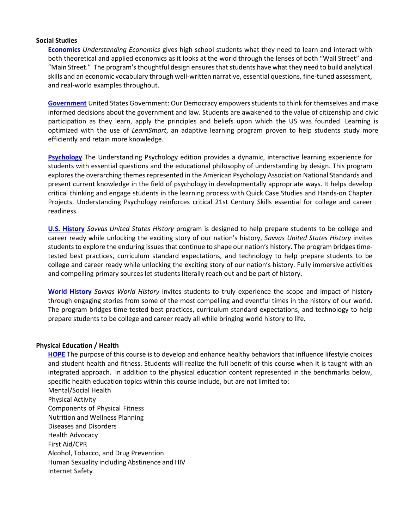#### Social Studies

Economics Understanding Economics gives high school students what they need to learn and interact with both theoretical and applied economics as it looks at the world through the lenses of both "Wall Street" and "Main Street." The program's thoughtful design ensures that students have what they need to build analytical skills and an economic vocabulary through well-written narrative, essential questions, fine-tuned assessment, and real-world examples throughout.

Government United States Government: Our Democracy empowers students to think for themselves and make informed decisions about the government and law. Students are awakened to the value of citizenship and civic participation as they learn, apply the principles and beliefs upon which the US was founded. Learning is optimized with the use of LearnSmart, an adaptive learning program proven to help students study more efficiently and retain more knowledge.

Psychology The Understanding Psychology edition provides a dynamic, interactive learning experience for students with essential questions and the educational philosophy of understanding by design. This program explores the overarching themes represented in the American Psychology Association National Standards and present current knowledge in the field of psychology in developmentally appropriate ways. It helps develop critical thinking and engage students in the learning process with Quick Case Studies and Hands-on Chapter Projects. Understanding Psychology reinforces critical 21st Century Skills essential for college and career readiness.

**U.S. History** Savvas United States History program is designed to help prepare students to be college and career ready while unlocking the exciting story of our nation's history, Savvas United States History invites students to explore the enduring issues that continue to shape our nation's history. The program bridges timetested best practices, curriculum standard expectations, and technology to help prepare students to be college and career ready while unlocking the exciting story of our nation's history. Fully immersive activities and compelling primary sources let students literally reach out and be part of history.

World History Savvas World History invites students to truly experience the scope and impact of history through engaging stories from some of the most compelling and eventful times in the history of our world. The program bridges time-tested best practices, curriculum standard expectations, and technology to help prepare students to be college and career ready all while bringing world history to life.

#### Physical Education / Health

**HOPE** The purpose of this course is to develop and enhance healthy behaviors that influence lifestyle choices and student health and fitness. Students will realize the full benefit of this course when it is taught with an integrated approach. In addition to the physical education content represented in the benchmarks below, specific health education topics within this course include, but are not limited to:

Mental/Social Health Physical Activity Components of Physical Fitness Nutrition and Wellness Planning Diseases and Disorders Health Advocacy First Aid/CPR Alcohol, Tobacco, and Drug Prevention Human Sexuality including Abstinence and HIV Internet Safety